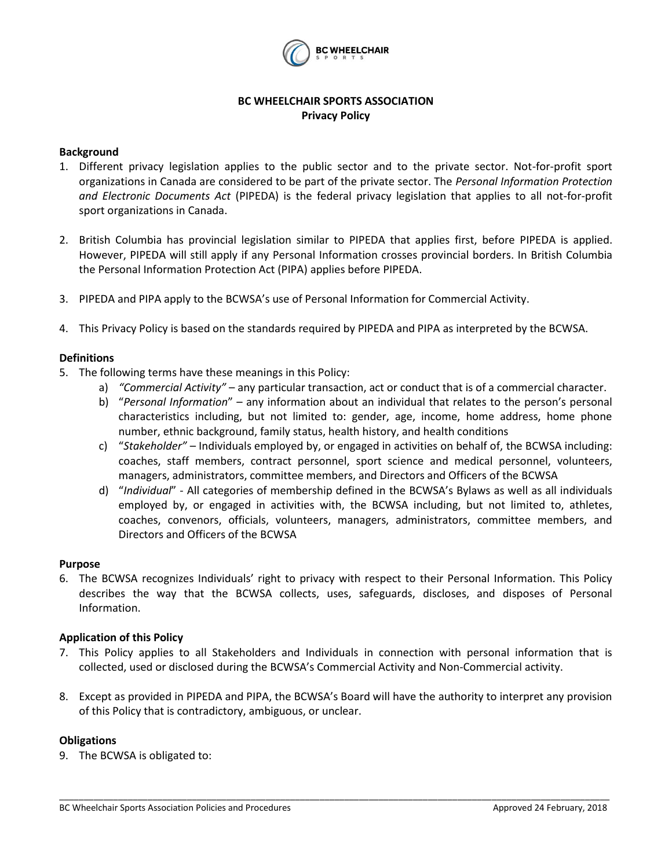

# **BC WHEELCHAIR SPORTS ASSOCIATION Privacy Policy**

# **Background**

- 1. Different privacy legislation applies to the public sector and to the private sector. Not-for-profit sport organizations in Canada are considered to be part of the private sector. The *Personal Information Protection and Electronic Documents Act* (PIPEDA) is the federal privacy legislation that applies to all not-for-profit sport organizations in Canada.
- 2. British Columbia has provincial legislation similar to PIPEDA that applies first, before PIPEDA is applied. However, PIPEDA will still apply if any Personal Information crosses provincial borders. In British Columbia the Personal Information Protection Act (PIPA) applies before PIPEDA.
- 3. PIPEDA and PIPA apply to the BCWSA's use of Personal Information for Commercial Activity.
- 4. This Privacy Policy is based on the standards required by PIPEDA and PIPA as interpreted by the BCWSA.

# **Definitions**

- 5. The following terms have these meanings in this Policy:
	- a) *"Commercial Activity"*  any particular transaction, act or conduct that is of a commercial character.
	- b) "*Personal Information*" any information about an individual that relates to the person's personal characteristics including, but not limited to: gender, age, income, home address, home phone number, ethnic background, family status, health history, and health conditions
	- c) "*Stakeholder"* Individuals employed by, or engaged in activities on behalf of, the BCWSA including: coaches, staff members, contract personnel, sport science and medical personnel, volunteers, managers, administrators, committee members, and Directors and Officers of the BCWSA
	- d) "*Individual*" All categories of membership defined in the BCWSA's Bylaws as well as all individuals employed by, or engaged in activities with, the BCWSA including, but not limited to, athletes, coaches, convenors, officials, volunteers, managers, administrators, committee members, and Directors and Officers of the BCWSA

#### **Purpose**

6. The BCWSA recognizes Individuals' right to privacy with respect to their Personal Information. This Policy describes the way that the BCWSA collects, uses, safeguards, discloses, and disposes of Personal Information.

# **Application of this Policy**

- 7. This Policy applies to all Stakeholders and Individuals in connection with personal information that is collected, used or disclosed during the BCWSA's Commercial Activity and Non-Commercial activity.
- 8. Except as provided in PIPEDA and PIPA, the BCWSA's Board will have the authority to interpret any provision of this Policy that is contradictory, ambiguous, or unclear.

\_\_\_\_\_\_\_\_\_\_\_\_\_\_\_\_\_\_\_\_\_\_\_\_\_\_\_\_\_\_\_\_\_\_\_\_\_\_\_\_\_\_\_\_\_\_\_\_\_\_\_\_\_\_\_\_\_\_\_\_\_\_\_\_\_\_\_\_\_\_\_\_\_\_\_\_\_\_\_\_\_\_\_\_\_\_\_\_\_\_\_\_\_\_\_\_\_\_\_\_\_\_\_\_\_\_\_\_\_\_\_\_

# **Obligations**

9. The BCWSA is obligated to: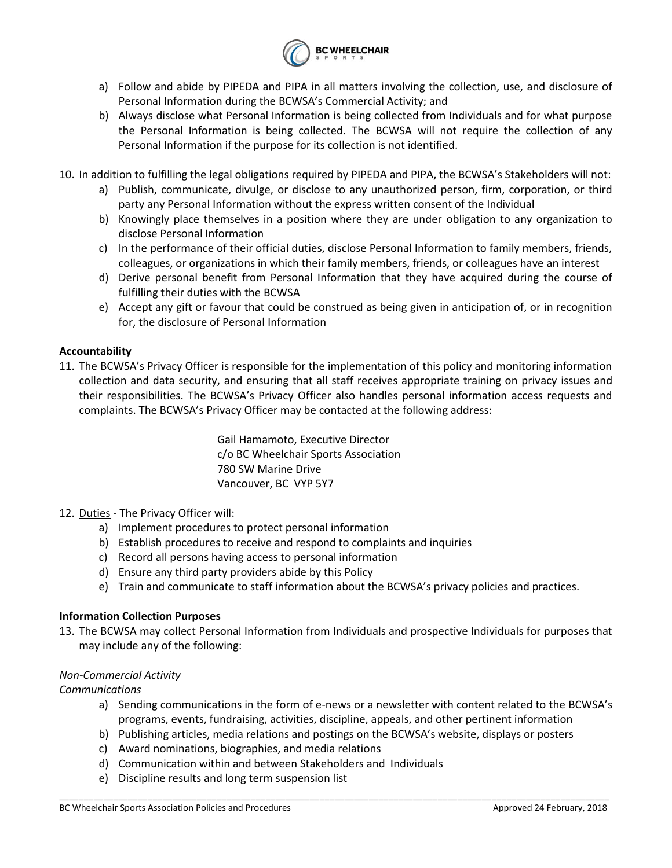

- a) Follow and abide by PIPEDA and PIPA in all matters involving the collection, use, and disclosure of Personal Information during the BCWSA's Commercial Activity; and
- b) Always disclose what Personal Information is being collected from Individuals and for what purpose the Personal Information is being collected. The BCWSA will not require the collection of any Personal Information if the purpose for its collection is not identified.
- 10. In addition to fulfilling the legal obligations required by PIPEDA and PIPA, the BCWSA's Stakeholders will not:
	- a) Publish, communicate, divulge, or disclose to any unauthorized person, firm, corporation, or third party any Personal Information without the express written consent of the Individual
	- b) Knowingly place themselves in a position where they are under obligation to any organization to disclose Personal Information
	- c) In the performance of their official duties, disclose Personal Information to family members, friends, colleagues, or organizations in which their family members, friends, or colleagues have an interest
	- d) Derive personal benefit from Personal Information that they have acquired during the course of fulfilling their duties with the BCWSA
	- e) Accept any gift or favour that could be construed as being given in anticipation of, or in recognition for, the disclosure of Personal Information

# **Accountability**

11. The BCWSA's Privacy Officer is responsible for the implementation of this policy and monitoring information collection and data security, and ensuring that all staff receives appropriate training on privacy issues and their responsibilities. The BCWSA's Privacy Officer also handles personal information access requests and complaints. The BCWSA's Privacy Officer may be contacted at the following address:

> Gail Hamamoto, Executive Director c/o BC Wheelchair Sports Association 780 SW Marine Drive Vancouver, BC VYP 5Y7

- 12. Duties The Privacy Officer will:
	- a) Implement procedures to protect personal information
	- b) Establish procedures to receive and respond to complaints and inquiries
	- c) Record all persons having access to personal information
	- d) Ensure any third party providers abide by this Policy
	- e) Train and communicate to staff information about the BCWSA's privacy policies and practices.

# **Information Collection Purposes**

13. The BCWSA may collect Personal Information from Individuals and prospective Individuals for purposes that may include any of the following:

# *Non-Commercial Activity*

# *Communications*

- a) Sending communications in the form of e-news or a newsletter with content related to the BCWSA's programs, events, fundraising, activities, discipline, appeals, and other pertinent information
- b) Publishing articles, media relations and postings on the BCWSA's website, displays or posters

- c) Award nominations, biographies, and media relations
- d) Communication within and between Stakeholders and Individuals
- e) Discipline results and long term suspension list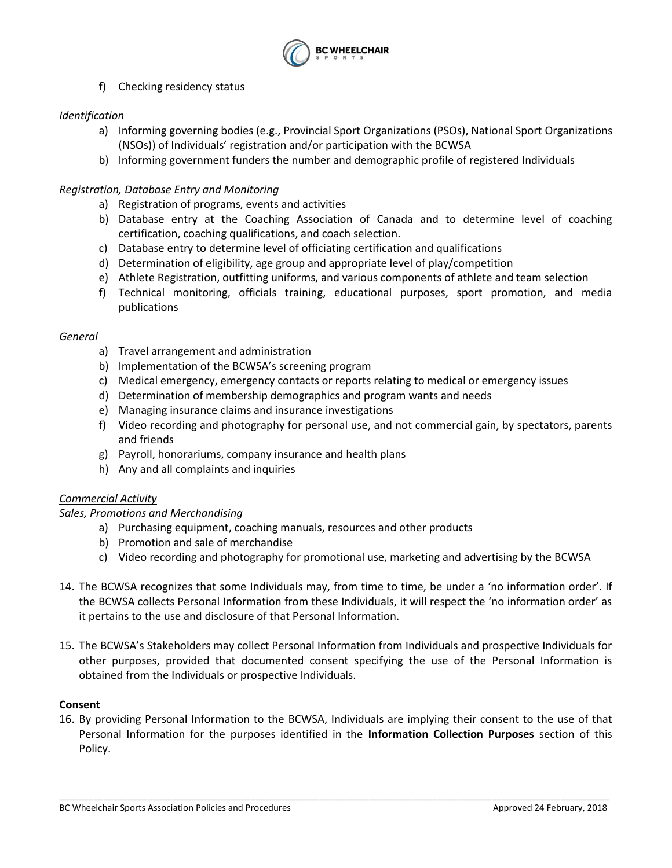

f) Checking residency status

# *Identification*

- a) Informing governing bodies (e.g., Provincial Sport Organizations (PSOs), National Sport Organizations (NSOs)) of Individuals' registration and/or participation with the BCWSA
- b) Informing government funders the number and demographic profile of registered Individuals

# *Registration, Database Entry and Monitoring*

- a) Registration of programs, events and activities
- b) Database entry at the Coaching Association of Canada and to determine level of coaching certification, coaching qualifications, and coach selection.
- c) Database entry to determine level of officiating certification and qualifications
- d) Determination of eligibility, age group and appropriate level of play/competition
- e) Athlete Registration, outfitting uniforms, and various components of athlete and team selection
- f) Technical monitoring, officials training, educational purposes, sport promotion, and media publications

### *General*

- a) Travel arrangement and administration
- b) Implementation of the BCWSA's screening program
- c) Medical emergency, emergency contacts or reports relating to medical or emergency issues
- d) Determination of membership demographics and program wants and needs
- e) Managing insurance claims and insurance investigations
- f) Video recording and photography for personal use, and not commercial gain, by spectators, parents and friends
- g) Payroll, honorariums, company insurance and health plans
- h) Any and all complaints and inquiries

# *Commercial Activity*

# *Sales, Promotions and Merchandising*

- a) Purchasing equipment, coaching manuals, resources and other products
- b) Promotion and sale of merchandise
- c) Video recording and photography for promotional use, marketing and advertising by the BCWSA
- 14. The BCWSA recognizes that some Individuals may, from time to time, be under a 'no information order'. If the BCWSA collects Personal Information from these Individuals, it will respect the 'no information order' as it pertains to the use and disclosure of that Personal Information.
- 15. The BCWSA's Stakeholders may collect Personal Information from Individuals and prospective Individuals for other purposes, provided that documented consent specifying the use of the Personal Information is obtained from the Individuals or prospective Individuals.

# **Consent**

16. By providing Personal Information to the BCWSA, Individuals are implying their consent to the use of that Personal Information for the purposes identified in the **Information Collection Purposes** section of this Policy.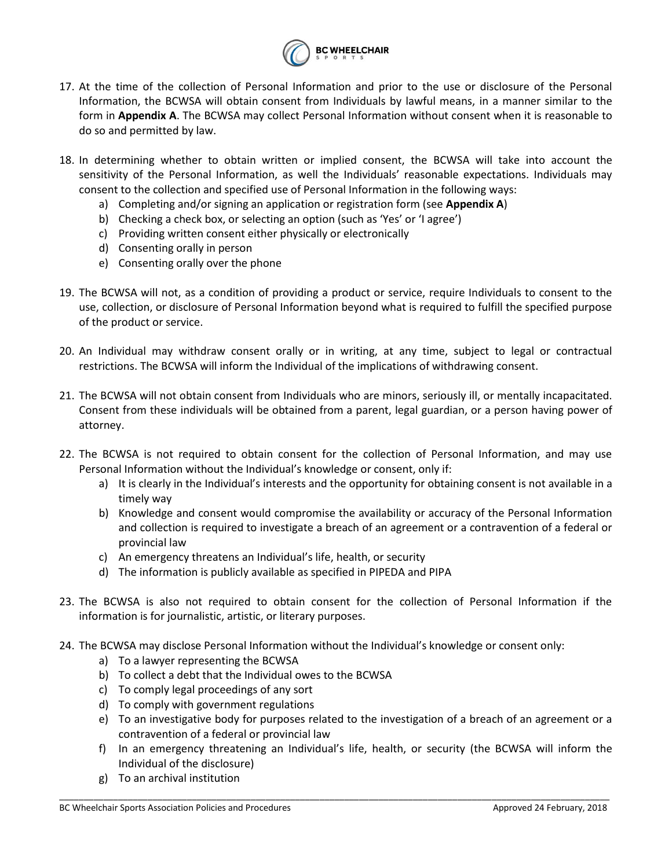

- 17. At the time of the collection of Personal Information and prior to the use or disclosure of the Personal Information, the BCWSA will obtain consent from Individuals by lawful means, in a manner similar to the form in **Appendix A**. The BCWSA may collect Personal Information without consent when it is reasonable to do so and permitted by law.
- 18. In determining whether to obtain written or implied consent, the BCWSA will take into account the sensitivity of the Personal Information, as well the Individuals' reasonable expectations. Individuals may consent to the collection and specified use of Personal Information in the following ways:
	- a) Completing and/or signing an application or registration form (see **Appendix A**)
	- b) Checking a check box, or selecting an option (such as 'Yes' or 'I agree')
	- c) Providing written consent either physically or electronically
	- d) Consenting orally in person
	- e) Consenting orally over the phone
- 19. The BCWSA will not, as a condition of providing a product or service, require Individuals to consent to the use, collection, or disclosure of Personal Information beyond what is required to fulfill the specified purpose of the product or service.
- 20. An Individual may withdraw consent orally or in writing, at any time, subject to legal or contractual restrictions. The BCWSA will inform the Individual of the implications of withdrawing consent.
- 21. The BCWSA will not obtain consent from Individuals who are minors, seriously ill, or mentally incapacitated. Consent from these individuals will be obtained from a parent, legal guardian, or a person having power of attorney.
- 22. The BCWSA is not required to obtain consent for the collection of Personal Information, and may use Personal Information without the Individual's knowledge or consent, only if:
	- a) It is clearly in the Individual's interests and the opportunity for obtaining consent is not available in a timely way
	- b) Knowledge and consent would compromise the availability or accuracy of the Personal Information and collection is required to investigate a breach of an agreement or a contravention of a federal or provincial law
	- c) An emergency threatens an Individual's life, health, or security
	- d) The information is publicly available as specified in PIPEDA and PIPA
- 23. The BCWSA is also not required to obtain consent for the collection of Personal Information if the information is for journalistic, artistic, or literary purposes.
- 24. The BCWSA may disclose Personal Information without the Individual's knowledge or consent only:
	- a) To a lawyer representing the BCWSA
	- b) To collect a debt that the Individual owes to the BCWSA
	- c) To comply legal proceedings of any sort
	- d) To comply with government regulations
	- e) To an investigative body for purposes related to the investigation of a breach of an agreement or a contravention of a federal or provincial law
	- f) In an emergency threatening an Individual's life, health, or security (the BCWSA will inform the Individual of the disclosure)

\_\_\_\_\_\_\_\_\_\_\_\_\_\_\_\_\_\_\_\_\_\_\_\_\_\_\_\_\_\_\_\_\_\_\_\_\_\_\_\_\_\_\_\_\_\_\_\_\_\_\_\_\_\_\_\_\_\_\_\_\_\_\_\_\_\_\_\_\_\_\_\_\_\_\_\_\_\_\_\_\_\_\_\_\_\_\_\_\_\_\_\_\_\_\_\_\_\_\_\_\_\_\_\_\_\_\_\_\_\_\_\_

g) To an archival institution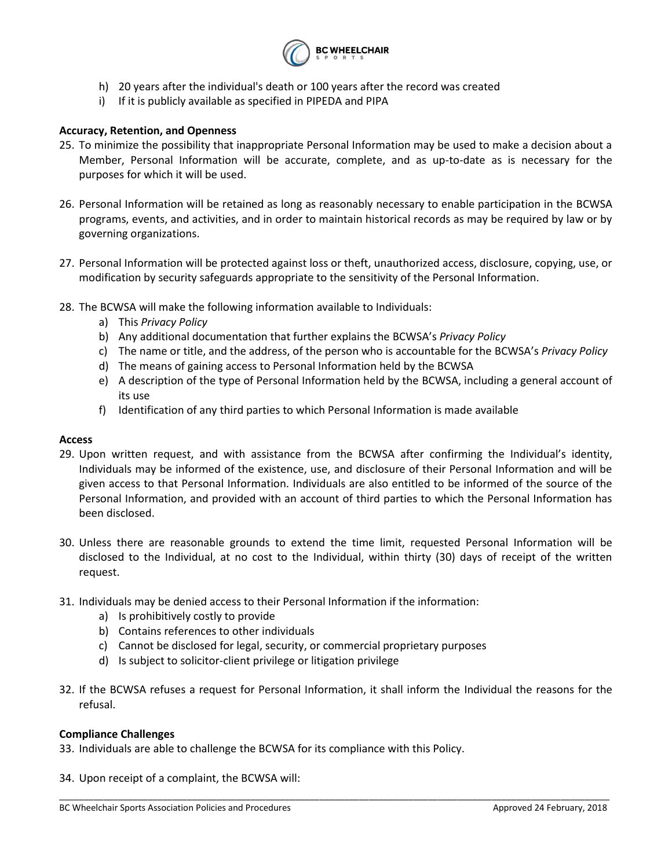

- h) 20 years after the individual's death or 100 years after the record was created
- i) If it is publicly available as specified in PIPEDA and PIPA

### **Accuracy, Retention, and Openness**

- 25. To minimize the possibility that inappropriate Personal Information may be used to make a decision about a Member, Personal Information will be accurate, complete, and as up-to-date as is necessary for the purposes for which it will be used.
- 26. Personal Information will be retained as long as reasonably necessary to enable participation in the BCWSA programs, events, and activities, and in order to maintain historical records as may be required by law or by governing organizations.
- 27. Personal Information will be protected against loss or theft, unauthorized access, disclosure, copying, use, or modification by security safeguards appropriate to the sensitivity of the Personal Information.
- 28. The BCWSA will make the following information available to Individuals:
	- a) This *Privacy Policy*
	- b) Any additional documentation that further explains the BCWSA's *Privacy Policy*
	- c) The name or title, and the address, of the person who is accountable for the BCWSA's *Privacy Policy*
	- d) The means of gaining access to Personal Information held by the BCWSA
	- e) A description of the type of Personal Information held by the BCWSA, including a general account of its use
	- f) Identification of any third parties to which Personal Information is made available

#### **Access**

- 29. Upon written request, and with assistance from the BCWSA after confirming the Individual's identity, Individuals may be informed of the existence, use, and disclosure of their Personal Information and will be given access to that Personal Information. Individuals are also entitled to be informed of the source of the Personal Information, and provided with an account of third parties to which the Personal Information has been disclosed.
- 30. Unless there are reasonable grounds to extend the time limit, requested Personal Information will be disclosed to the Individual, at no cost to the Individual, within thirty (30) days of receipt of the written request.
- 31. Individuals may be denied access to their Personal Information if the information:
	- a) Is prohibitively costly to provide
	- b) Contains references to other individuals
	- c) Cannot be disclosed for legal, security, or commercial proprietary purposes
	- d) Is subject to solicitor-client privilege or litigation privilege
- 32. If the BCWSA refuses a request for Personal Information, it shall inform the Individual the reasons for the refusal.

\_\_\_\_\_\_\_\_\_\_\_\_\_\_\_\_\_\_\_\_\_\_\_\_\_\_\_\_\_\_\_\_\_\_\_\_\_\_\_\_\_\_\_\_\_\_\_\_\_\_\_\_\_\_\_\_\_\_\_\_\_\_\_\_\_\_\_\_\_\_\_\_\_\_\_\_\_\_\_\_\_\_\_\_\_\_\_\_\_\_\_\_\_\_\_\_\_\_\_\_\_\_\_\_\_\_\_\_\_\_\_\_

#### **Compliance Challenges**

- 33. Individuals are able to challenge the BCWSA for its compliance with this Policy.
- 34. Upon receipt of a complaint, the BCWSA will: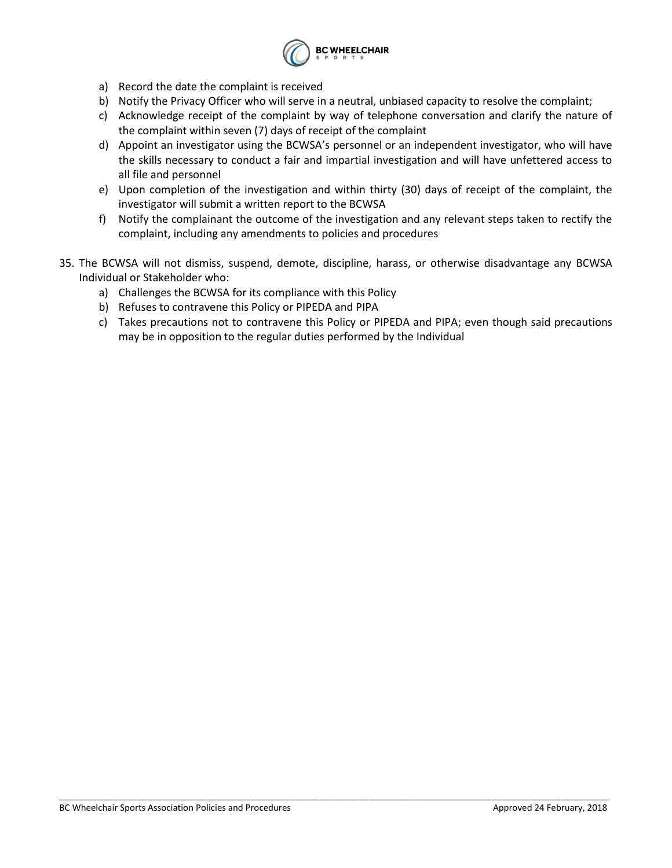

- a) Record the date the complaint is received
- b) Notify the Privacy Officer who will serve in a neutral, unbiased capacity to resolve the complaint;
- c) Acknowledge receipt of the complaint by way of telephone conversation and clarify the nature of the complaint within seven (7) days of receipt of the complaint
- d) Appoint an investigator using the BCWSA's personnel or an independent investigator, who will have the skills necessary to conduct a fair and impartial investigation and will have unfettered access to all file and personnel
- e) Upon completion of the investigation and within thirty (30) days of receipt of the complaint, the investigator will submit a written report to the BCWSA
- f) Notify the complainant the outcome of the investigation and any relevant steps taken to rectify the complaint, including any amendments to policies and procedures
- 35. The BCWSA will not dismiss, suspend, demote, discipline, harass, or otherwise disadvantage any BCWSA Individual or Stakeholder who:

- a) Challenges the BCWSA for its compliance with this Policy
- b) Refuses to contravene this Policy or PIPEDA and PIPA
- c) Takes precautions not to contravene this Policy or PIPEDA and PIPA; even though said precautions may be in opposition to the regular duties performed by the Individual